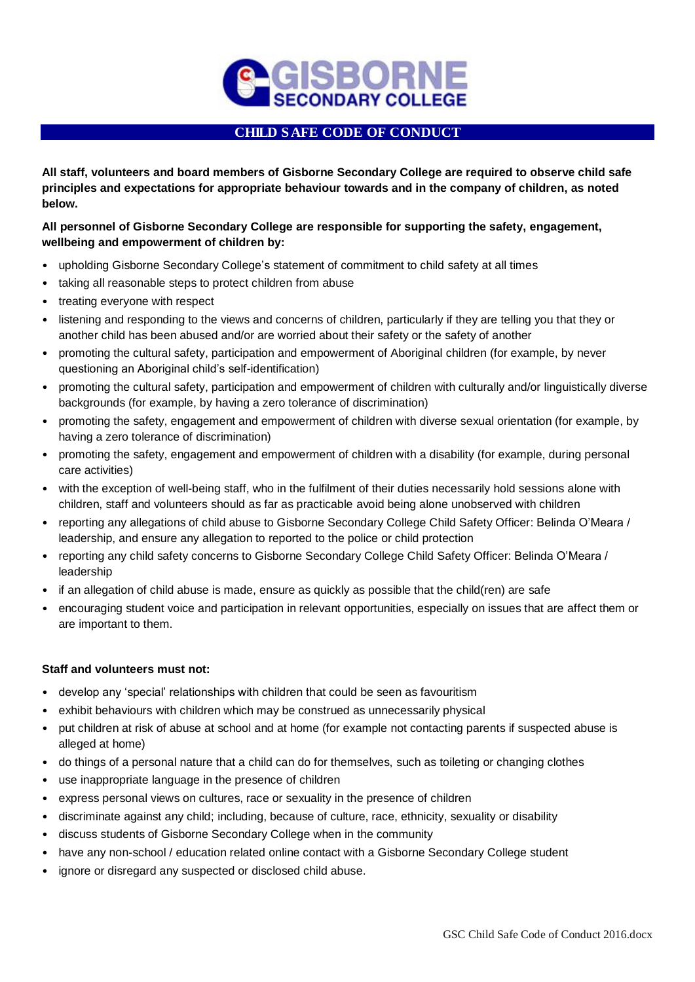

## CHILD SAFE CODE OF CONDUCT

**All staff, volunteers and board members of Gisborne Secondary College are required to observe child safe principles and expectations for appropriate behaviour towards and in the company of children, as noted below.**

## **All personnel of Gisborne Secondary College are responsible for supporting the safety, engagement, wellbeing and empowerment of children by:**

- upholding Gisborne Secondary College's statement of commitment to child safety at all times
- taking all reasonable steps to protect children from abuse
- treating everyone with respect
- listening and responding to the views and concerns of children, particularly if they are telling you that they or another child has been abused and/or are worried about their safety or the safety of another
- promoting the cultural safety, participation and empowerment of Aboriginal children (for example, by never questioning an Aboriginal child's self-identification)
- promoting the cultural safety, participation and empowerment of children with culturally and/or linguistically diverse backgrounds (for example, by having a zero tolerance of discrimination)
- promoting the safety, engagement and empowerment of children with diverse sexual orientation (for example, by having a zero tolerance of discrimination)
- promoting the safety, engagement and empowerment of children with a disability (for example, during personal care activities)
- with the exception of well-being staff, who in the fulfilment of their duties necessarily hold sessions alone with children, staff and volunteers should as far as practicable avoid being alone unobserved with children
- reporting any allegations of child abuse to Gisborne Secondary College Child Safety Officer: Belinda O'Meara / leadership, and ensure any allegation to reported to the police or child protection
- reporting any child safety concerns to Gisborne Secondary College Child Safety Officer: Belinda O'Meara / leadership
- if an allegation of child abuse is made, ensure as quickly as possible that the child(ren) are safe
- encouraging student voice and participation in relevant opportunities, especially on issues that are affect them or are important to them.

## **Staff and volunteers must not:**

- develop any 'special' relationships with children that could be seen as favouritism
- exhibit behaviours with children which may be construed as unnecessarily physical
- put children at risk of abuse at school and at home (for example not contacting parents if suspected abuse is alleged at home)
- do things of a personal nature that a child can do for themselves, such as toileting or changing clothes
- use inappropriate language in the presence of children
- express personal views on cultures, race or sexuality in the presence of children
- discriminate against any child; including, because of culture, race, ethnicity, sexuality or disability
- discuss students of Gisborne Secondary College when in the community
- have any non-school / education related online contact with a Gisborne Secondary College student
- ignore or disregard any suspected or disclosed child abuse.